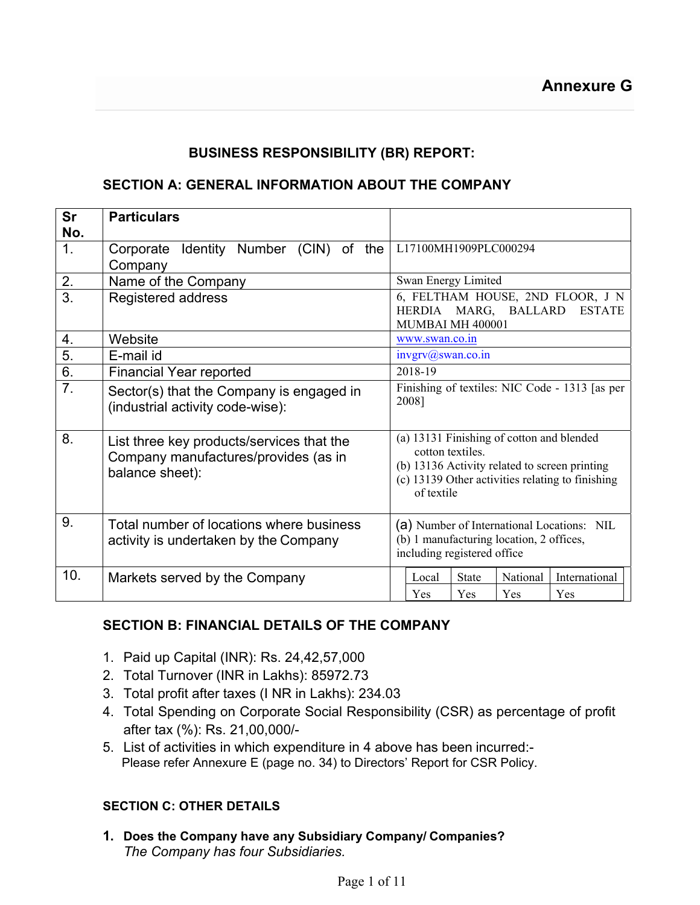# **BUSINESS RESPONSIBILITY (BR) REPORT:**

## **SECTION A: GENERAL INFORMATION ABOUT THE COMPANY**

| <b>Sr</b><br>No. | <b>Particulars</b>                                                                                   |                                                                                                                                                                                  |  |  |  |  |  |
|------------------|------------------------------------------------------------------------------------------------------|----------------------------------------------------------------------------------------------------------------------------------------------------------------------------------|--|--|--|--|--|
| 1.               | Identity Number (CIN) of the<br>Corporate<br>Company                                                 | L17100MH1909PLC000294                                                                                                                                                            |  |  |  |  |  |
| 2.               | Name of the Company                                                                                  | Swan Energy Limited                                                                                                                                                              |  |  |  |  |  |
| $\overline{3}$   | Registered address                                                                                   | 6, FELTHAM HOUSE, 2ND FLOOR, J N<br>HERDIA MARG, BALLARD ESTATE<br>MUMBAI MH 400001                                                                                              |  |  |  |  |  |
| 4.               | Website                                                                                              | www.swan.co.in                                                                                                                                                                   |  |  |  |  |  |
| 5.               | E-mail id                                                                                            | invgrv@swan.co.in                                                                                                                                                                |  |  |  |  |  |
| 6.               | <b>Financial Year reported</b>                                                                       | 2018-19                                                                                                                                                                          |  |  |  |  |  |
| $\overline{7}$ . | Sector(s) that the Company is engaged in<br>(industrial activity code-wise):                         | Finishing of textiles: NIC Code - 1313 [as per<br>2008]                                                                                                                          |  |  |  |  |  |
| 8.               | List three key products/services that the<br>Company manufactures/provides (as in<br>balance sheet): | (a) 13131 Finishing of cotton and blended<br>cotton textiles.<br>(b) 13136 Activity related to screen printing<br>(c) 13139 Other activities relating to finishing<br>of textile |  |  |  |  |  |
| 9.               | Total number of locations where business<br>activity is undertaken by the Company                    | (a) Number of International Locations: NIL<br>(b) 1 manufacturing location, 2 offices,<br>including registered office                                                            |  |  |  |  |  |
| 10.              | Markets served by the Company                                                                        | International<br>National<br>Local<br><b>State</b><br>Yes<br>Yes<br><b>Yes</b><br>Yes                                                                                            |  |  |  |  |  |

## **SECTION B: FINANCIAL DETAILS OF THE COMPANY**

- 1. Paid up Capital (INR): Rs. 24,42,57,000
- 2. Total Turnover (INR in Lakhs): 85972.73
- 3. Total profit after taxes (I NR in Lakhs): 234.03
- 4. Total Spending on Corporate Social Responsibility (CSR) as percentage of profit after tax (%): Rs. 21,00,000/-
- 5. List of activities in which expenditure in 4 above has been incurred:- Please refer Annexure E (page no. 34) to Directors' Report for CSR Policy.

## **SECTION C: OTHER DETAILS**

**1. Does the Company have any Subsidiary Company/ Companies?**  *The Company has four Subsidiaries.*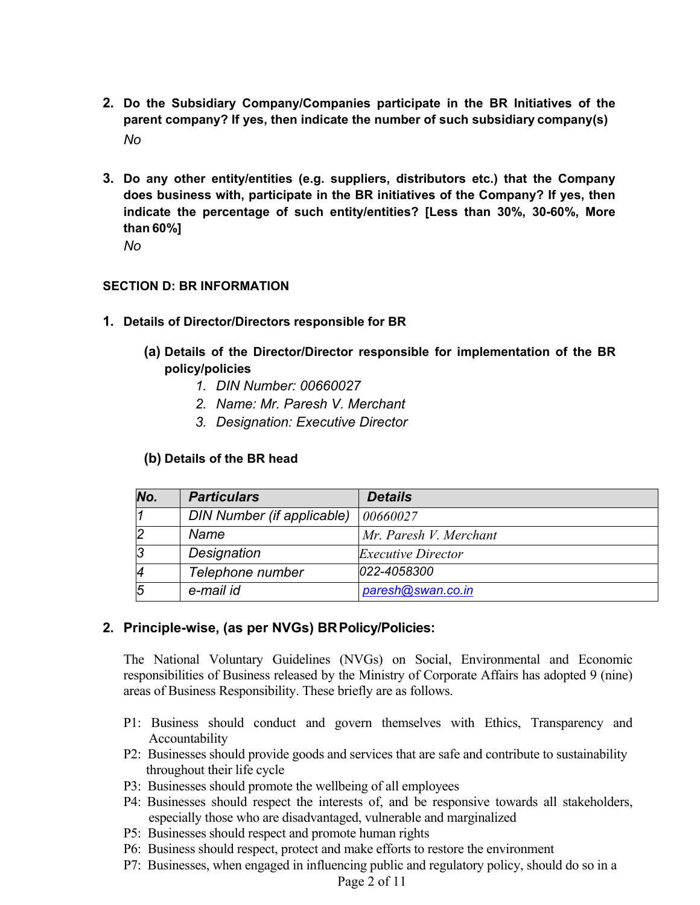- **2. Do the Subsidiary Company/Companies participate in the BR Initiatives of the parent company? If yes, then indicate the number of such subsidiary company(s)**  *No*
- **3. Do any other entity/entities (e.g. suppliers, distributors etc.) that the Company does business with, participate in the BR initiatives of the Company? If yes, then indicate the percentage of such entity/entities? [Less than 30%, 30-60%, More than 60%]**

#### *No*

#### **SECTION D: BR INFORMATION**

- **1. Details of Director/Directors responsible for BR** 
	- **(a) Details of the Director/Director responsible for implementation of the BR policy/policies** 
		- *1. DIN Number: 00660027*
		- *2. Name: Mr. Paresh V. Merchant*
		- *3. Designation: Executive Director*

#### **(b) Details of the BR head**

| No.            | <b>Particulars</b>         | <b>Details</b>            |
|----------------|----------------------------|---------------------------|
|                | DIN Number (if applicable) | 00660027                  |
| $\overline{2}$ | Name                       | Mr. Paresh V. Merchant    |
| $\overline{3}$ | Designation                | <i>Executive Director</i> |
| 14             | Telephone number           | 022-4058300               |
| $\overline{5}$ | e-mail id                  | paresh@swan.co.in         |

#### **2. Principle-wise, (as per NVGs) BR Policy/Policies:**

The National Voluntary Guidelines (NVGs) on Social, Environmental and Economic responsibilities of Business released by the Ministry of Corporate Affairs has adopted 9 (nine) areas of Business Responsibility. These briefly are as follows.

- P1: Business should conduct and govern themselves with Ethics, Transparency and Accountability
- P2: Businesses should provide goods and services that are safe and contribute to sustainability throughout their life cycle
- P3: Businesses should promote the wellbeing of all employees
- P4: Businesses should respect the interests of, and be responsive towards all stakeholders, especially those who are disadvantaged, vulnerable and marginalized
- P5: Businesses should respect and promote human rights
- P6: Business should respect, protect and make efforts to restore the environment
- P7: Businesses, when engaged in influencing public and regulatory policy, should do so in a

#### Page 2 of 11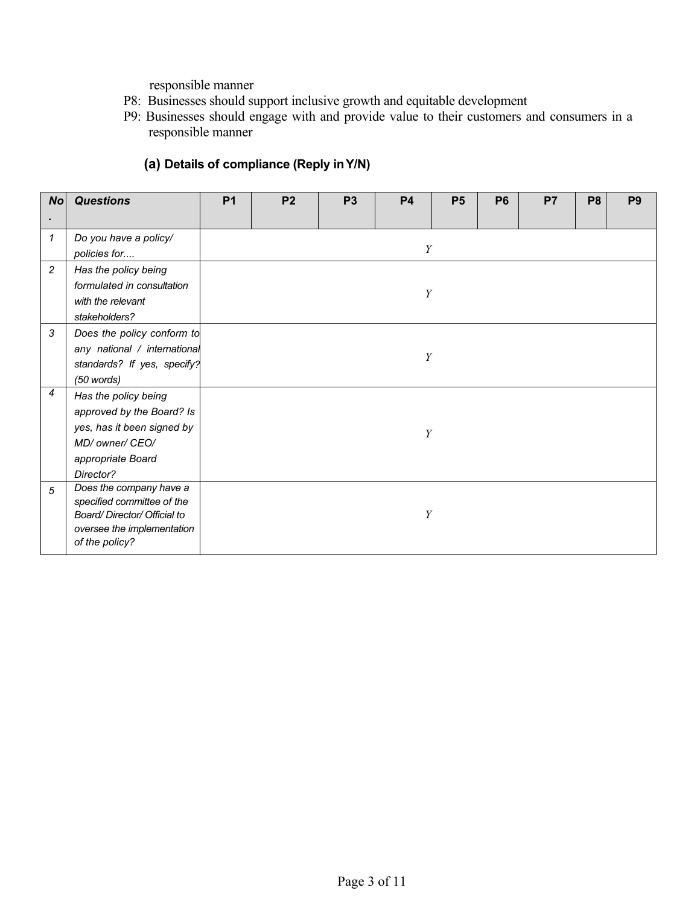responsible manner

- P8: Businesses should support inclusive growth and equitable development
- P9: Businesses should engage with and provide value to their customers and consumers in a responsible manner

# **(a) Details of compliance (Reply in Y/N)**

| N <sub>O</sub> | <b>Questions</b>                             | <b>P1</b> | P <sub>2</sub> | P <sub>3</sub> | <b>P4</b> | <b>P5</b> | <b>P6</b> | <b>P7</b> | P <sub>8</sub> | P <sub>9</sub> |
|----------------|----------------------------------------------|-----------|----------------|----------------|-----------|-----------|-----------|-----------|----------------|----------------|
|                |                                              |           |                |                |           |           |           |           |                |                |
| 1              | Do you have a policy/                        |           |                |                |           |           |           |           |                |                |
|                | policies for                                 |           |                |                | Y         |           |           |           |                |                |
| $\overline{c}$ | Has the policy being                         |           |                |                |           |           |           |           |                |                |
|                | formulated in consultation                   |           |                |                | Y         |           |           |           |                |                |
|                | with the relevant                            |           |                |                |           |           |           |           |                |                |
|                | stakeholders?                                |           |                |                |           |           |           |           |                |                |
| 3              | Does the policy conform to                   |           |                |                |           |           |           |           |                |                |
|                | any national / international                 |           |                |                | Y         |           |           |           |                |                |
|                | standards? If yes, specify?                  |           |                |                |           |           |           |           |                |                |
|                | (50 words)                                   |           |                |                |           |           |           |           |                |                |
| 4              | Has the policy being                         |           |                |                |           |           |           |           |                |                |
|                | approved by the Board? Is                    |           |                |                |           |           |           |           |                |                |
|                | yes, has it been signed by                   |           |                |                | Y         |           |           |           |                |                |
|                | MD/ owner/ CEO/                              |           |                |                |           |           |           |           |                |                |
|                | appropriate Board                            |           |                |                |           |           |           |           |                |                |
|                | Director?                                    |           |                |                |           |           |           |           |                |                |
| 5              | Does the company have a                      |           |                |                |           |           |           |           |                |                |
|                | specified committee of the                   |           |                |                |           |           |           |           |                |                |
|                | Board/Director/Official to                   |           |                |                | Y         |           |           |           |                |                |
|                | oversee the implementation<br>of the policy? |           |                |                |           |           |           |           |                |                |
|                |                                              |           |                |                |           |           |           |           |                |                |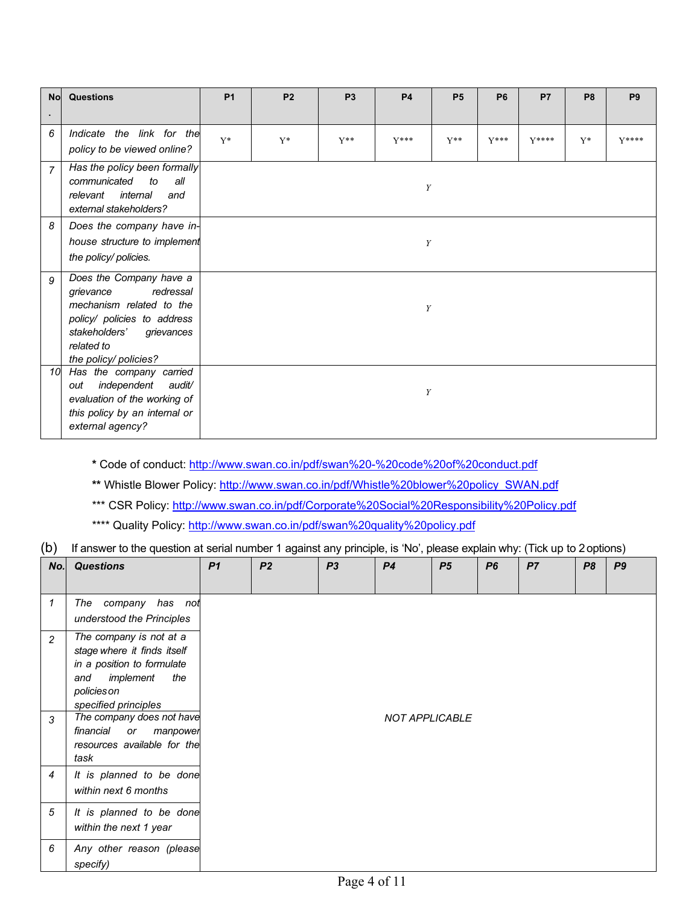| <b>No</b>      | Questions                                                                                                                                                                          | <b>P1</b> | <b>P2</b> | P <sub>3</sub> | <b>P4</b> | <b>P5</b>      | <b>P6</b> | <b>P7</b> | P <sub>8</sub> | P <sub>9</sub> |
|----------------|------------------------------------------------------------------------------------------------------------------------------------------------------------------------------------|-----------|-----------|----------------|-----------|----------------|-----------|-----------|----------------|----------------|
| $\bullet$      |                                                                                                                                                                                    |           |           |                |           |                |           |           |                |                |
| 6              | the link for the<br>Indicate<br>policy to be viewed online?                                                                                                                        | $Y^*$     | $Y^*$     | $Y^{\ast\ast}$ | $Y***$    | $Y^{\ast\ast}$ | $Y***$    | Y****     | $Y^*$          | $Y***$         |
| $\overline{7}$ | Has the policy been formally<br>communicated<br>to<br>all<br>relevant<br>internal<br>and<br>external stakeholders?                                                                 |           |           |                | Y         |                |           |           |                |                |
| 8              | Does the company have in-<br>house structure to implement<br>the policy/ policies.                                                                                                 |           |           |                | Y         |                |           |           |                |                |
| 9              | Does the Company have a<br>redressal<br>grievance<br>mechanism related to the<br>policy/ policies to address<br>stakeholders'<br>grievances<br>related to<br>the policy/ policies? |           |           |                | Y         |                |           |           |                |                |
| 10             | Has the company carried<br>independent<br>audit/<br>out<br>evaluation of the working of<br>this policy by an internal or<br>external agency?                                       |           |           |                | Y         |                |           |           |                |                |

**\*** Code of conduct: http://www.swan.co.in/pdf/swan%20-%20code%20of%20conduct.pdf

**\*\*** Whistle Blower Policy: http://www.swan.co.in/pdf/Whistle%20blower%20policy\_SWAN.pdf

\*\*\* CSR Policy: http://www.swan.co.in/pdf/Corporate%20Social%20Responsibility%20Policy.pdf

\*\*\*\* Quality Policy: http://www.swan.co.in/pdf/swan%20quality%20policy.pdf

(b) If answer to the question at serial number 1 against any principle, is 'No', please explain why: (Tick up to 2 options)

| No.            | <b>Questions</b>                                                                                                                                       | P <sub>1</sub> | P <sub>2</sub> | P <sub>3</sub> | P <sub>4</sub>        | P <sub>5</sub> | P <sub>6</sub> | P7 | P <sub>8</sub> | P9 |
|----------------|--------------------------------------------------------------------------------------------------------------------------------------------------------|----------------|----------------|----------------|-----------------------|----------------|----------------|----|----------------|----|
| $\mathcal I$   | The company has not<br>understood the Principles                                                                                                       |                |                |                |                       |                |                |    |                |    |
| $\overline{c}$ | The company is not at a<br>stage where it finds itself<br>in a position to formulate<br>implement<br>the<br>and<br>policies on<br>specified principles |                |                |                |                       |                |                |    |                |    |
| 3              | The company does not have<br>financial<br>manpower<br>or<br>resources available for the<br>task                                                        |                |                |                | <b>NOT APPLICABLE</b> |                |                |    |                |    |
| $\overline{4}$ | It is planned to be done<br>within next 6 months                                                                                                       |                |                |                |                       |                |                |    |                |    |
| 5              | It is planned to be done<br>within the next 1 year                                                                                                     |                |                |                |                       |                |                |    |                |    |
| 6              | Any other reason (please<br>specify)                                                                                                                   |                |                |                |                       |                |                |    |                |    |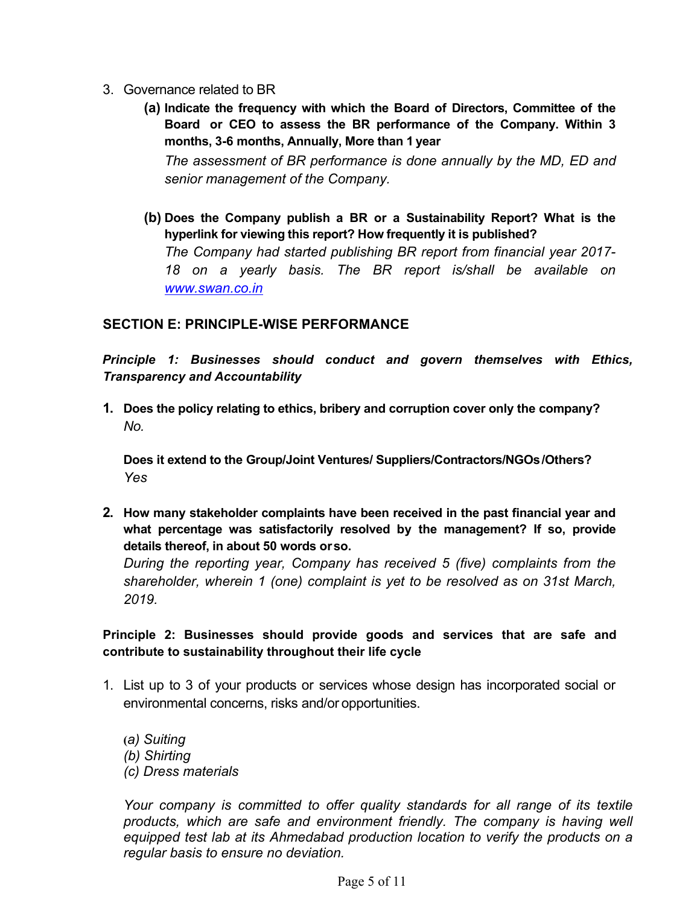- 3. Governance related to BR
	- **(a) Indicate the frequency with which the Board of Directors, Committee of the Board or CEO to assess the BR performance of the Company. Within 3 months, 3-6 months, Annually, More than 1 year**

*The assessment of BR performance is done annually by the MD, ED and senior management of the Company.* 

**(b) Does the Company publish a BR or a Sustainability Report? What is the hyperlink for viewing this report? How frequently it is published?**  *The Company had started publishing BR report from financial year 2017- 18 on a yearly basis. The BR report is/shall be available on www.swan.co.in* 

## **SECTION E: PRINCIPLE-WISE PERFORMANCE**

*Principle 1: Businesses should conduct and govern themselves with Ethics, Transparency and Accountability* 

**1. Does the policy relating to ethics, bribery and corruption cover only the company?**  *No.* 

**Does it extend to the Group/Joint Ventures/ Suppliers/Contractors/NGOs /Others?**  *Yes* 

**2. How many stakeholder complaints have been received in the past financial year and what percentage was satisfactorily resolved by the management? If so, provide details thereof, in about 50 words or so.** 

*During the reporting year, Company has received 5 (five) complaints from the shareholder, wherein 1 (one) complaint is yet to be resolved as on 31st March, 2019.* 

**Principle 2: Businesses should provide goods and services that are safe and contribute to sustainability throughout their life cycle** 

- 1. List up to 3 of your products or services whose design has incorporated social or environmental concerns, risks and/or opportunities.
	- **(***a) Suiting (b) Shirting (c) Dress materials*

*Your company is committed to offer quality standards for all range of its textile*  products, which are safe and environment friendly. The company is having well *equipped test lab at its Ahmedabad production location to verify the products on a regular basis to ensure no deviation.*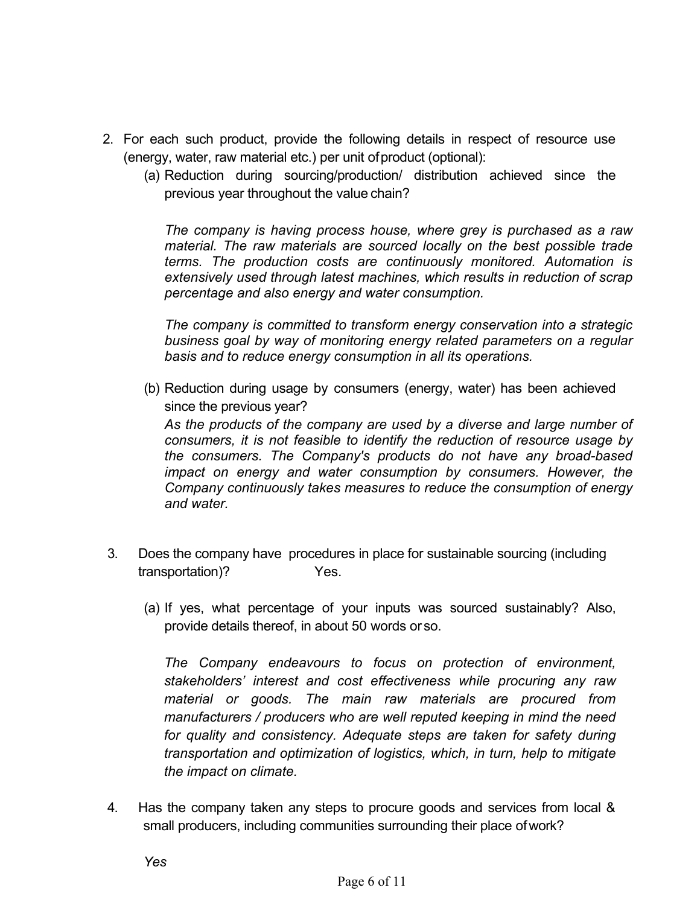- 2. For each such product, provide the following details in respect of resource use (energy, water, raw material etc.) per unit of product (optional):
	- (a) Reduction during sourcing/production/ distribution achieved since the previous year throughout the value chain?

*The company is having process house, where grey is purchased as a raw material. The raw materials are sourced locally on the best possible trade terms. The production costs are continuously monitored. Automation is extensively used through latest machines, which results in reduction of scrap percentage and also energy and water consumption.* 

*The company is committed to transform energy conservation into a strategic business goal by way of monitoring energy related parameters on a regular basis and to reduce energy consumption in all its operations.* 

- (b) Reduction during usage by consumers (energy, water) has been achieved since the previous year? *As the products of the company are used by a diverse and large number of consumers, it is not feasible to identify the reduction of resource usage by the consumers. The Company's products do not have any broad-based impact on energy and water consumption by consumers. However, the Company continuously takes measures to reduce the consumption of energy and water.*
- 3. Does the company have procedures in place for sustainable sourcing (including transportation)? Yes.
	- (a) If yes, what percentage of your inputs was sourced sustainably? Also, provide details thereof, in about 50 words or so.

*The Company endeavours to focus on protection of environment, stakeholders' interest and cost effectiveness while procuring any raw material or goods. The main raw materials are procured from manufacturers / producers who are well reputed keeping in mind the need for quality and consistency. Adequate steps are taken for safety during transportation and optimization of logistics, which, in turn, help to mitigate the impact on climate.* 

4. Has the company taken any steps to procure goods and services from local & small producers, including communities surrounding their place of work?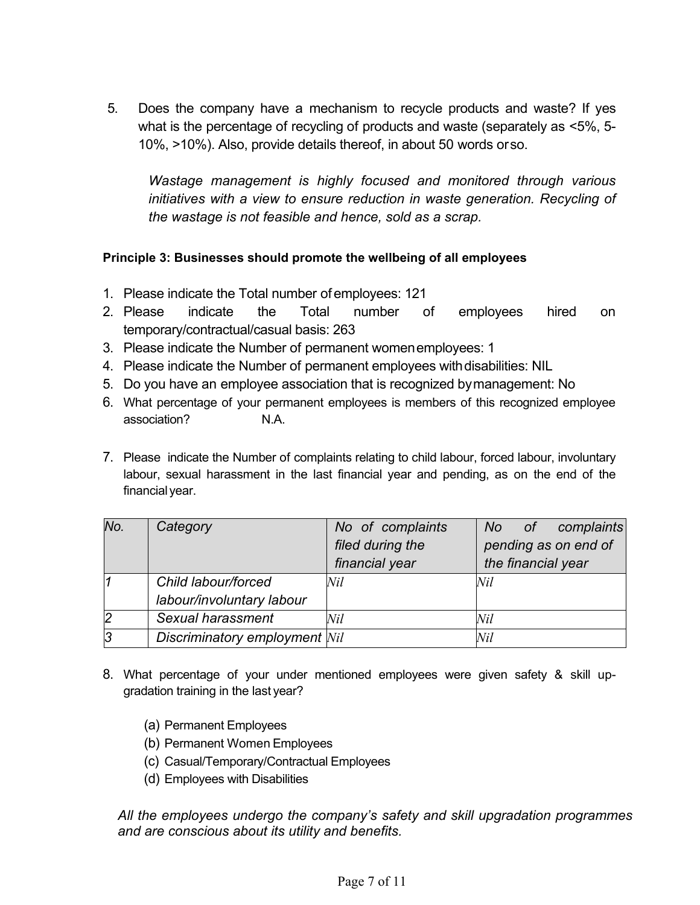5. Does the company have a mechanism to recycle products and waste? If yes what is the percentage of recycling of products and waste (separately as <5%, 5- 10%, >10%). Also, provide details thereof, in about 50 words or so.

*Wastage management is highly focused and monitored through various initiatives with a view to ensure reduction in waste generation. Recycling of the wastage is not feasible and hence, sold as a scrap.* 

## **Principle 3: Businesses should promote the wellbeing of all employees**

- 1. Please indicate the Total number of employees: 121
- 2. Please indicate the Total number of employees hired on temporary/contractual/casual basis: 263
- 3. Please indicate the Number of permanent women employees: 1
- 4. Please indicate the Number of permanent employees with disabilities: NIL
- 5. Do you have an employee association that is recognized by management: No
- 6. What percentage of your permanent employees is members of this recognized employee association? N.A.
- 7. Please indicate the Number of complaints relating to child labour, forced labour, involuntary labour, sexual harassment in the last financial year and pending, as on the end of the financial year.

| No.            | Category                      | No of complaints | complaints<br>No of  |
|----------------|-------------------------------|------------------|----------------------|
|                |                               | filed during the | pending as on end of |
|                |                               | financial year   | the financial year   |
|                | Child labour/forced           | Nil              | Nil                  |
|                | labour/involuntary labour     |                  |                      |
| $\overline{2}$ | Sexual harassment             | Nil              | Nil                  |
| 3              | Discriminatory employment Nil |                  | Nil                  |

- 8. What percentage of your under mentioned employees were given safety & skill upgradation training in the last year?
	- (a) Permanent Employees
	- (b) Permanent Women Employees
	- (c) Casual/Temporary/Contractual Employees
	- (d) Employees with Disabilities

*All the employees undergo the company's safety and skill upgradation programmes and are conscious about its utility and benefits.*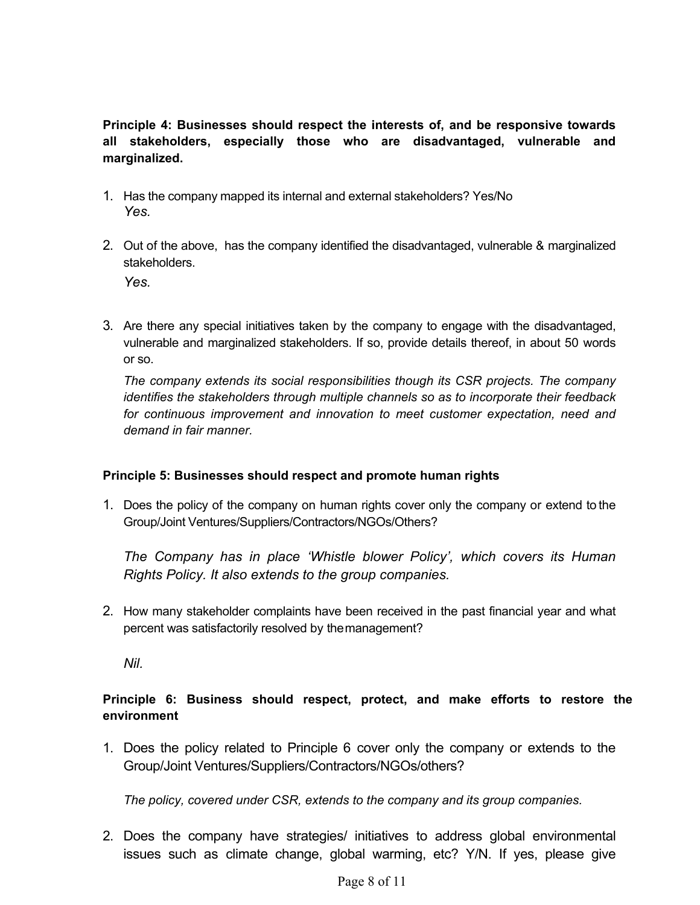## **Principle 4: Businesses should respect the interests of, and be responsive towards all stakeholders, especially those who are disadvantaged, vulnerable and marginalized.**

- 1. Has the company mapped its internal and external stakeholders? Yes/No *Yes.*
- 2. Out of the above, has the company identified the disadvantaged, vulnerable & marginalized stakeholders.

*Yes.* 

3. Are there any special initiatives taken by the company to engage with the disadvantaged, vulnerable and marginalized stakeholders. If so, provide details thereof, in about 50 words or so.

*The company extends its social responsibilities though its CSR projects. The company identifies the stakeholders through multiple channels so as to incorporate their feedback for continuous improvement and innovation to meet customer expectation, need and demand in fair manner.* 

## **Principle 5: Businesses should respect and promote human rights**

1. Does the policy of the company on human rights cover only the company or extend to the Group/Joint Ventures/Suppliers/Contractors/NGOs/Others?

*The Company has in place 'Whistle blower Policy', which covers its Human Rights Policy. It also extends to the group companies.* 

2. How many stakeholder complaints have been received in the past financial year and what percent was satisfactorily resolved by the management?

*Nil.* 

## **Principle 6: Business should respect, protect, and make efforts to restore the environment**

1. Does the policy related to Principle 6 cover only the company or extends to the Group/Joint Ventures/Suppliers/Contractors/NGOs/others?

*The policy, covered under CSR, extends to the company and its group companies.* 

2. Does the company have strategies/ initiatives to address global environmental issues such as climate change, global warming, etc? Y/N. If yes, please give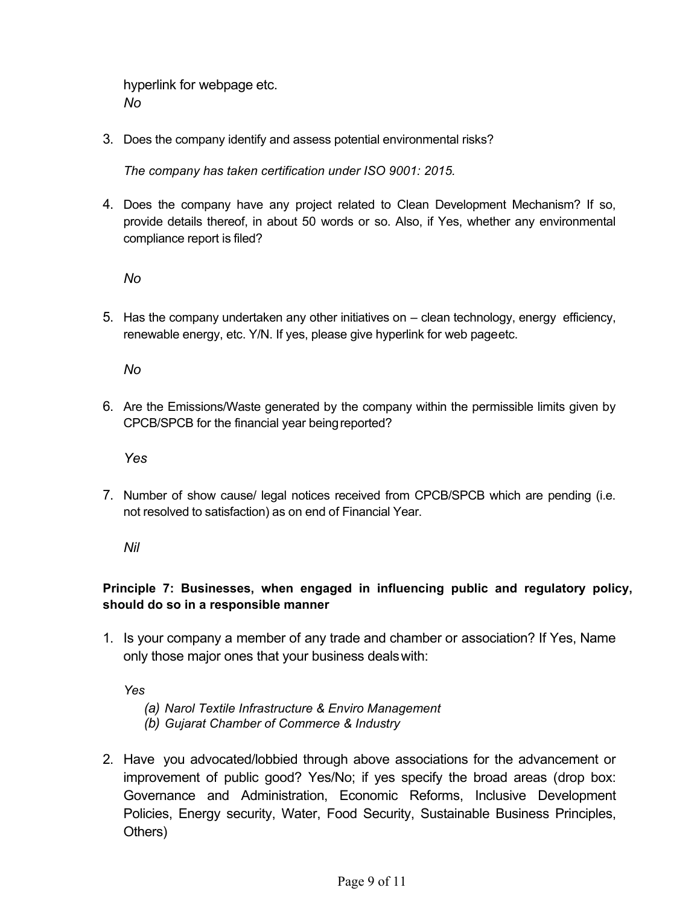hyperlink for webpage etc. *No* 

3. Does the company identify and assess potential environmental risks?

*The company has taken certification under ISO 9001: 2015.* 

4. Does the company have any project related to Clean Development Mechanism? If so, provide details thereof, in about 50 words or so. Also, if Yes, whether any environmental compliance report is filed?

*No* 

5. Has the company undertaken any other initiatives on – clean technology, energy efficiency, renewable energy, etc. Y/N. If yes, please give hyperlink for web page etc.

*No* 

6. Are the Emissions/Waste generated by the company within the permissible limits given by CPCB/SPCB for the financial year being reported?

*Yes* 

7. Number of show cause/ legal notices received from CPCB/SPCB which are pending (i.e. not resolved to satisfaction) as on end of Financial Year.

*Nil* 

## **Principle 7: Businesses, when engaged in influencing public and regulatory policy, should do so in a responsible manner**

1. Is your company a member of any trade and chamber or association? If Yes, Name only those major ones that your business deals with:

*Yes* 

- *(a) Narol Textile Infrastructure & Enviro Management*
- *(b) Gujarat Chamber of Commerce & Industry*
- 2. Have you advocated/lobbied through above associations for the advancement or improvement of public good? Yes/No; if yes specify the broad areas (drop box: Governance and Administration, Economic Reforms, Inclusive Development Policies, Energy security, Water, Food Security, Sustainable Business Principles, Others)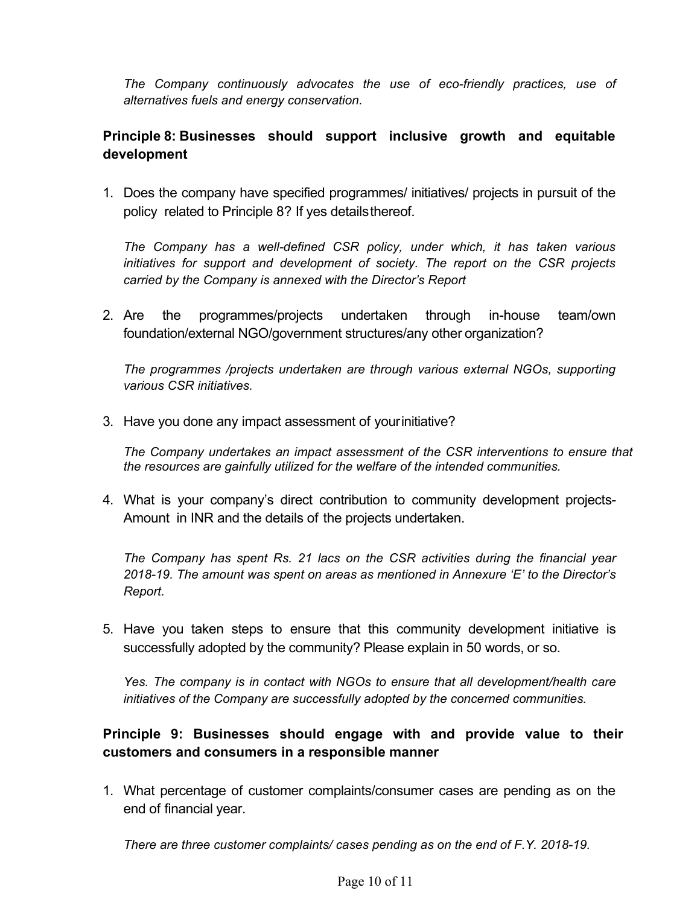*The Company continuously advocates the use of eco-friendly practices, use of alternatives fuels and energy conservation.* 

# **Principle 8: Businesses should support inclusive growth and equitable development**

1. Does the company have specified programmes/ initiatives/ projects in pursuit of the policy related to Principle 8? If yes details thereof.

*The Company has a well-defined CSR policy, under which, it has taken various initiatives for support and development of society. The report on the CSR projects carried by the Company is annexed with the Director's Report* 

2. Are the programmes/projects undertaken through in-house team/own foundation/external NGO/government structures/any other organization?

*The programmes /projects undertaken are through various external NGOs, supporting various CSR initiatives.* 

3. Have you done any impact assessment of your initiative?

*The Company undertakes an impact assessment of the CSR interventions to ensure that the resources are gainfully utilized for the welfare of the intended communities.* 

4. What is your company's direct contribution to community development projects-Amount in INR and the details of the projects undertaken.

*The Company has spent Rs. 21 lacs on the CSR activities during the financial year 2018-19. The amount was spent on areas as mentioned in Annexure 'E' to the Director's Report.* 

5. Have you taken steps to ensure that this community development initiative is successfully adopted by the community? Please explain in 50 words, or so.

*Yes. The company is in contact with NGOs to ensure that all development/health care initiatives of the Company are successfully adopted by the concerned communities.* 

## **Principle 9: Businesses should engage with and provide value to their customers and consumers in a responsible manner**

1. What percentage of customer complaints/consumer cases are pending as on the end of financial year.

*There are three customer complaints/ cases pending as on the end of F.Y. 2018-19.*